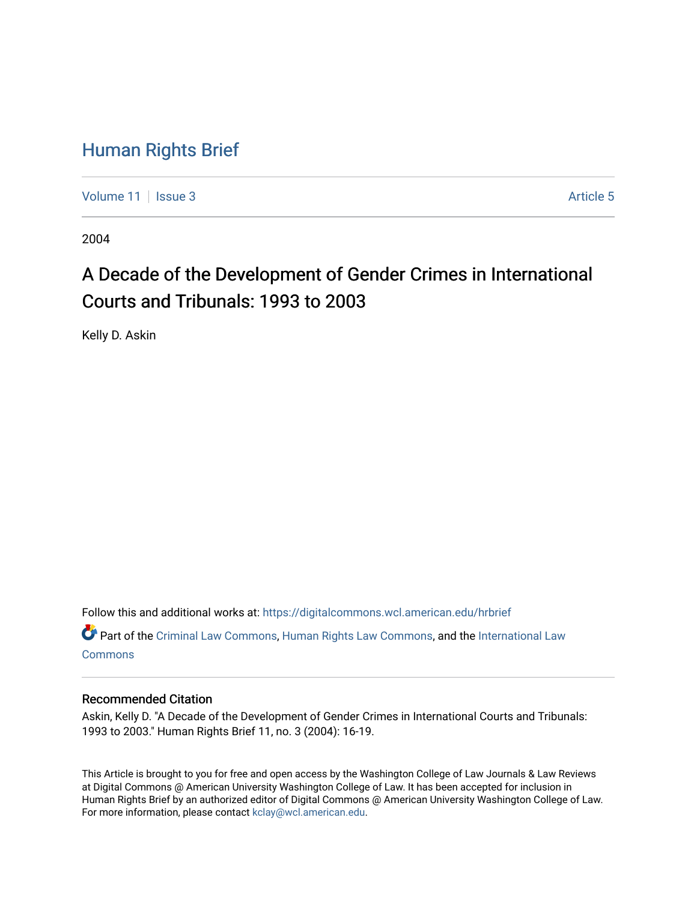### [Human Rights Brief](https://digitalcommons.wcl.american.edu/hrbrief)

[Volume 11](https://digitalcommons.wcl.american.edu/hrbrief/vol11) | [Issue 3](https://digitalcommons.wcl.american.edu/hrbrief/vol11/iss3) Article 5

2004

## A Decade of the Development of Gender Crimes in International Courts and Tribunals: 1993 to 2003

Kelly D. Askin

Follow this and additional works at: [https://digitalcommons.wcl.american.edu/hrbrief](https://digitalcommons.wcl.american.edu/hrbrief?utm_source=digitalcommons.wcl.american.edu%2Fhrbrief%2Fvol11%2Fiss3%2F5&utm_medium=PDF&utm_campaign=PDFCoverPages) 

Part of the [Criminal Law Commons,](http://network.bepress.com/hgg/discipline/912?utm_source=digitalcommons.wcl.american.edu%2Fhrbrief%2Fvol11%2Fiss3%2F5&utm_medium=PDF&utm_campaign=PDFCoverPages) [Human Rights Law Commons](http://network.bepress.com/hgg/discipline/847?utm_source=digitalcommons.wcl.american.edu%2Fhrbrief%2Fvol11%2Fiss3%2F5&utm_medium=PDF&utm_campaign=PDFCoverPages), and the [International Law](http://network.bepress.com/hgg/discipline/609?utm_source=digitalcommons.wcl.american.edu%2Fhrbrief%2Fvol11%2Fiss3%2F5&utm_medium=PDF&utm_campaign=PDFCoverPages) [Commons](http://network.bepress.com/hgg/discipline/609?utm_source=digitalcommons.wcl.american.edu%2Fhrbrief%2Fvol11%2Fiss3%2F5&utm_medium=PDF&utm_campaign=PDFCoverPages)

#### Recommended Citation

Askin, Kelly D. "A Decade of the Development of Gender Crimes in International Courts and Tribunals: 1993 to 2003." Human Rights Brief 11, no. 3 (2004): 16-19.

This Article is brought to you for free and open access by the Washington College of Law Journals & Law Reviews at Digital Commons @ American University Washington College of Law. It has been accepted for inclusion in Human Rights Brief by an authorized editor of Digital Commons @ American University Washington College of Law. For more information, please contact [kclay@wcl.american.edu.](mailto:kclay@wcl.american.edu)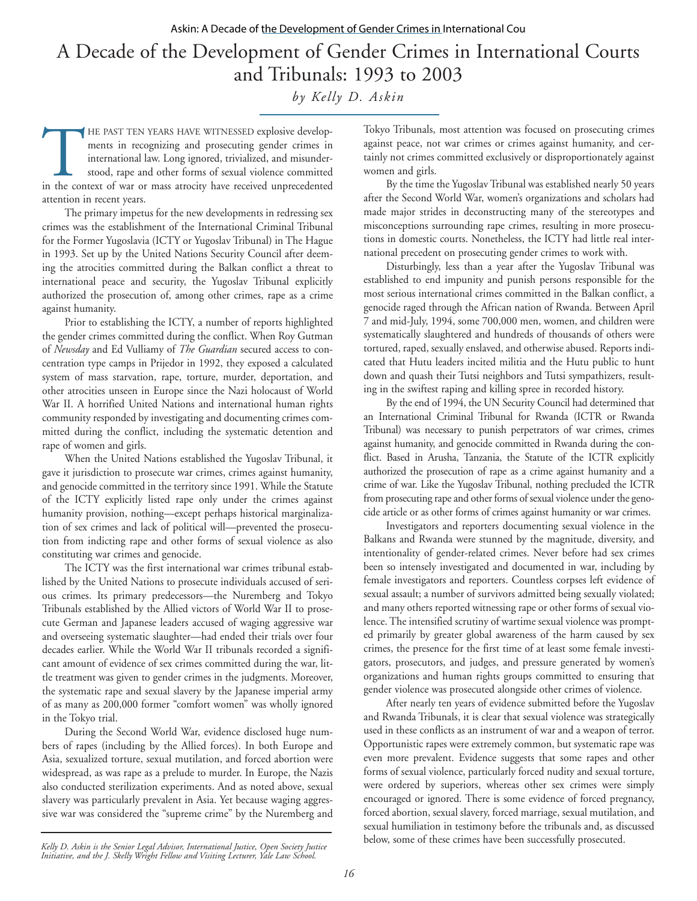# A Decade of the Development of Gender Crimes in International Courts and Tribunals: 1993 to 2003

*by Kelly D. Askin*

THE PAST TEN YEARS HAVE WITNESSED explosive developments in recognizing and prosecuting gender crimes in international law. Long ignored, trivialized, and misunder-stood, rape and other forms of sexual violence committed i ments in recognizing and prosecuting gender crimes in international law. Long ignored, trivialized, and misunderstood, rape and other forms of sexual violence committed attention in recent years.

The primary impetus for the new developments in redressing sex crimes was the establishment of the International Criminal Tribunal for the Former Yugoslavia (ICTY or Yugoslav Tribunal) in The Hague in 1993. Set up by the United Nations Security Council after deeming the atrocities committed during the Balkan conflict a threat to international peace and security, the Yugoslav Tribunal explicitly authorized the prosecution of, among other crimes, rape as a crime against humanity.

Prior to establishing the ICTY, a number of reports highlighted the gender crimes committed during the conflict. When Roy Gutman of *Newsday* and Ed Vulliamy of *The Guardian* secured access to concentration type camps in Prijedor in 1992, they exposed a calculated system of mass starvation, rape, torture, murder, deportation, and other atrocities unseen in Europe since the Nazi holocaust of World War II. A horrified United Nations and international human rights community responded by investigating and documenting crimes committed during the conflict, including the systematic detention and rape of women and girls.

When the United Nations established the Yugoslav Tribunal, it gave it jurisdiction to prosecute war crimes, crimes against humanity, and genocide committed in the territory since 1991. While the Statute of the ICTY explicitly listed rape only under the crimes against humanity provision, nothing—except perhaps historical marginalization of sex crimes and lack of political will—prevented the prosecution from indicting rape and other forms of sexual violence as also constituting war crimes and genocide.

The ICTY was the first international war crimes tribunal established by the United Nations to prosecute individuals accused of serious crimes. Its primary predecessors—the Nuremberg and Tokyo Tribunals established by the Allied victors of World War II to prosecute German and Japanese leaders accused of waging aggressive war and overseeing systematic slaughter—had ended their trials over four decades earlier. While the World War II tribunals recorded a significant amount of evidence of sex crimes committed during the war, little treatment was given to gender crimes in the judgments. Moreover, the systematic rape and sexual slavery by the Japanese imperial army of as many as 200,000 former "comfort women" was wholly ignored in the Tokyo trial.

During the Second World War, evidence disclosed huge numbers of rapes (including by the Allied forces). In both Europe and Asia, sexualized torture, sexual mutilation, and forced abortion were widespread, as was rape as a prelude to murder. In Europe, the Nazis also conducted sterilization experiments. And as noted above, sexual slavery was particularly prevalent in Asia. Yet because waging aggressive war was considered the "supreme crime" by the Nuremberg and

Tokyo Tribunals, most attention was focused on prosecuting crimes against peace, not war crimes or crimes against humanity, and certainly not crimes committed exclusively or disproportionately against women and girls.

By the time the Yugoslav Tribunal was established nearly 50 years after the Second World War, women's organizations and scholars had made major strides in deconstructing many of the stereotypes and misconceptions surrounding rape crimes, resulting in more prosecutions in domestic courts. Nonetheless, the ICTY had little real international precedent on prosecuting gender crimes to work with.

Disturbingly, less than a year after the Yugoslav Tribunal was established to end impunity and punish persons responsible for the most serious international crimes committed in the Balkan conflict, a genocide raged through the African nation of Rwanda. Between April 7 and mid-July, 1994, some 700,000 men, women, and children were systematically slaughtered and hundreds of thousands of others were tortured, raped, sexually enslaved, and otherwise abused. Reports indicated that Hutu leaders incited militia and the Hutu public to hunt down and quash their Tutsi neighbors and Tutsi sympathizers, resulting in the swiftest raping and killing spree in recorded history.

By the end of 1994, the UN Security Council had determined that an International Criminal Tribunal for Rwanda (ICTR or Rwanda Tribunal) was necessary to punish perpetrators of war crimes, crimes against humanity, and genocide committed in Rwanda during the conflict. Based in Arusha, Tanzania, the Statute of the ICTR explicitly authorized the prosecution of rape as a crime against humanity and a crime of war. Like the Yugoslav Tribunal, nothing precluded the ICTR from prosecuting rape and other forms of sexual violence under the genocide article or as other forms of crimes against humanity or war crimes.

Investigators and reporters documenting sexual violence in the Balkans and Rwanda were stunned by the magnitude, diversity, and intentionality of gender-related crimes. Never before had sex crimes been so intensely investigated and documented in war, including by female investigators and reporters. Countless corpses left evidence of sexual assault; a number of survivors admitted being sexually violated; and many others reported witnessing rape or other forms of sexual violence. The intensified scrutiny of wartime sexual violence was prompted primarily by greater global awareness of the harm caused by sex crimes, the presence for the first time of at least some female investigators, prosecutors, and judges, and pressure generated by women's organizations and human rights groups committed to ensuring that gender violence was prosecuted alongside other crimes of violence.

After nearly ten years of evidence submitted before the Yugoslav and Rwanda Tribunals, it is clear that sexual violence was strategically used in these conflicts as an instrument of war and a weapon of terror. Opportunistic rapes were extremely common, but systematic rape was even more prevalent. Evidence suggests that some rapes and other forms of sexual violence, particularly forced nudity and sexual torture, were ordered by superiors, whereas other sex crimes were simply encouraged or ignored. There is some evidence of forced pregnancy, forced abortion, sexual slavery, forced marriage, sexual mutilation, and sexual humiliation in testimony before the tribunals and, as discussed below, some of these crimes have been successfully prosecuted.

*Kelly D. Askin is the Senior Legal Advisor, International Justice, Open Society Justice Initiative, and the J. Skelly Wright Fellow and Visiting Lecturer, Yale Law School.*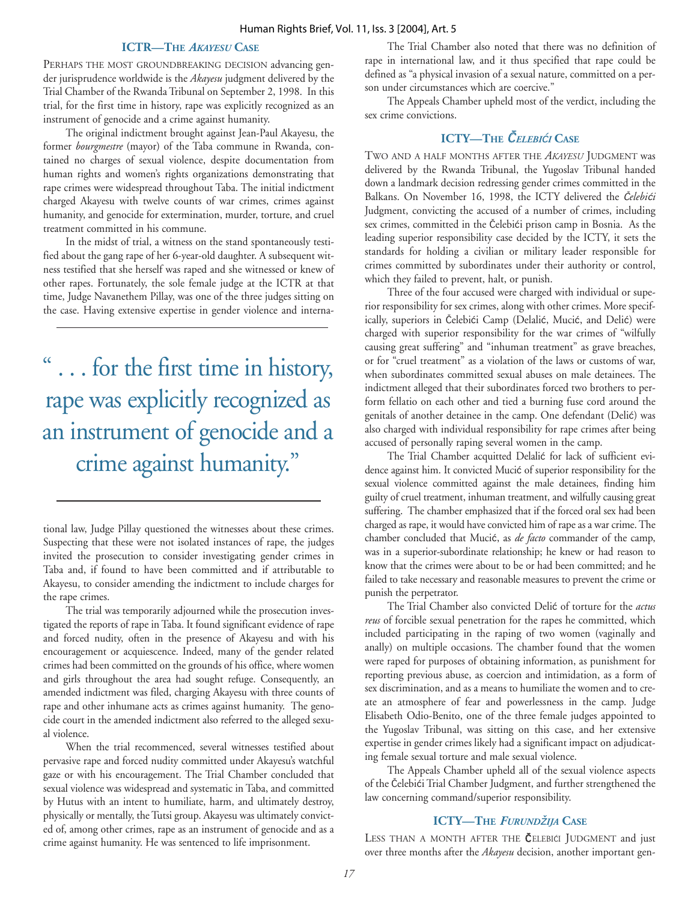#### **ICTR—THE** *AKAYESU* **CASE**

PERHAPS THE MOST GROUNDBREAKING DECISION advancing gender jurisprudence worldwide is the *Akayesu* judgment delivered by the Trial Chamber of the Rwanda Tribunal on September 2, 1998. In this trial, for the first time in history, rape was explicitly recognized as an instrument of genocide and a crime against humanity.

The original indictment brought against Jean-Paul Akayesu, the former *bourgmestre* (mayor) of the Taba commune in Rwanda, contained no charges of sexual violence, despite documentation from human rights and women's rights organizations demonstrating that rape crimes were widespread throughout Taba. The initial indictment charged Akayesu with twelve counts of war crimes, crimes against humanity, and genocide for extermination, murder, torture, and cruel treatment committed in his commune.

In the midst of trial, a witness on the stand spontaneously testified about the gang rape of her 6-year-old daughter. A subsequent witness testified that she herself was raped and she witnessed or knew of other rapes. Fortunately, the sole female judge at the ICTR at that time, Judge Navanethem Pillay, was one of the three judges sitting on the case. Having extensive expertise in gender violence and interna-

... for the first time in history, rape was explicitly recognized as an instrument of genocide and a crime against humanity."

tional law, Judge Pillay questioned the witnesses about these crimes. Suspecting that these were not isolated instances of rape, the judges invited the prosecution to consider investigating gender crimes in Taba and, if found to have been committed and if attributable to Akayesu, to consider amending the indictment to include charges for the rape crimes.

The trial was temporarily adjourned while the prosecution investigated the reports of rape in Taba. It found significant evidence of rape and forced nudity, often in the presence of Akayesu and with his encouragement or acquiescence. Indeed, many of the gender related crimes had been committed on the grounds of his office, where women and girls throughout the area had sought refuge. Consequently, an amended indictment was filed, charging Akayesu with three counts of rape and other inhumane acts as crimes against humanity. The genocide court in the amended indictment also referred to the alleged sexual violence.

When the trial recommenced, several witnesses testified about pervasive rape and forced nudity committed under Akayesu's watchful gaze or with his encouragement. The Trial Chamber concluded that sexual violence was widespread and systematic in Taba, and committed by Hutus with an intent to humiliate, harm, and ultimately destroy, physically or mentally, the Tutsi group. Akayesu was ultimately convicted of, among other crimes, rape as an instrument of genocide and as a crime against humanity. He was sentenced to life imprisonment.

The Trial Chamber also noted that there was no definition of rape in international law, and it thus specified that rape could be defined as "a physical invasion of a sexual nature, committed on a person under circumstances which are coercive."

The Appeals Chamber upheld most of the verdict, including the sex crime convictions.

#### **ICTY—THE** Č *ELEBI*ć*I* **CASE**

TWO AND A HALF MONTHS AFTER THE *AKAYESU* JUDGMENT was delivered by the Rwanda Tribunal, the Yugoslav Tribunal handed down a landmark decision redressing gender crimes committed in the Balkans. On November 16, 1998, the ICTY delivered the Č*elebi*ć*i* Judgment, convicting the accused of a number of crimes, including sex crimes, committed in the Čelebići prison camp in Bosnia. As the leading superior responsibility case decided by the ICTY, it sets the standards for holding a civilian or military leader responsible for crimes committed by subordinates under their authority or control, which they failed to prevent, halt, or punish.

Three of the four accused were charged with individual or superior responsibility for sex crimes, along with other crimes. More specifically, superiors in Čelebići Camp (Delalić, Mucić, and Delić) were charged with superior responsibility for the war crimes of "wilfully causing great suffering" and "inhuman treatment" as grave breaches, or for "cruel treatment" as a violation of the laws or customs of war, when subordinates committed sexual abuses on male detainees. The indictment alleged that their subordinates forced two brothers to perform fellatio on each other and tied a burning fuse cord around the genitals of another detainee in the camp. One defendant (Delić) was also charged with individual responsibility for rape crimes after being accused of personally raping several women in the camp.

The Trial Chamber acquitted Delalić for lack of sufficient evidence against him. It convicted Mucić of superior responsibility for the sexual violence committed against the male detainees, finding him guilty of cruel treatment, inhuman treatment, and wilfully causing great suffering. The chamber emphasized that if the forced oral sex had been charged as rape, it would have convicted him of rape as a war crime. The chamber concluded that Mucić, as *de facto* commander of the camp, was in a superior-subordinate relationship; he knew or had reason to know that the crimes were about to be or had been committed; and he failed to take necessary and reasonable measures to prevent the crime or punish the perpetrator.

The Trial Chamber also convicted Delić of torture for the *actus reus* of forcible sexual penetration for the rapes he committed, which included participating in the raping of two women (vaginally and anally) on multiple occasions. The chamber found that the women were raped for purposes of obtaining information, as punishment for reporting previous abuse, as coercion and intimidation, as a form of sex discrimination, and as a means to humiliate the women and to create an atmosphere of fear and powerlessness in the camp. Judge Elisabeth Odio-Benito, one of the three female judges appointed to the Yugoslav Tribunal, was sitting on this case, and her extensive expertise in gender crimes likely had a significant impact on adjudicating female sexual torture and male sexual violence.

The Appeals Chamber upheld all of the sexual violence aspects of the Čelebići Trial Chamber Judgment, and further strengthened the law concerning command/superior responsibility.

#### **ICTY—THE** *FURUND*ž*IJA* **CASE**

LESS THAN A MONTH AFTER THE **Č**ELEBIĆI JUDGMENT and just over three months after the *Akayesu* decision, another important gen-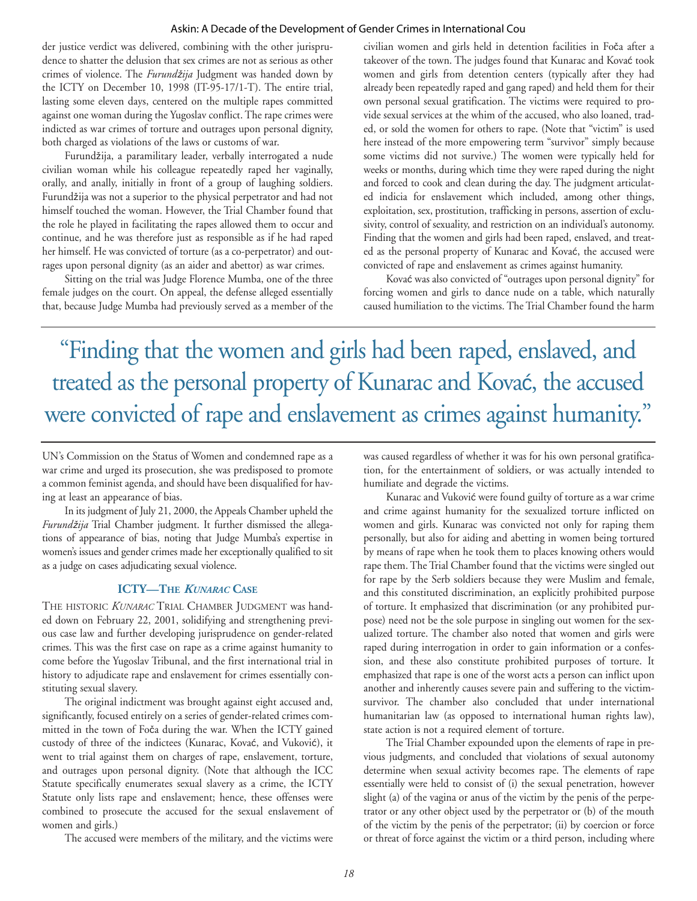#### Askin: A Decade of the Development of Gender Crimes in International Cou

der justice verdict was delivered, combining with the other jurisprudence to shatter the delusion that sex crimes are not as serious as other crimes of violence. The *Furund*ž*ija* Judgment was handed down by the ICTY on December 10, 1998 (IT-95-17/1-T). The entire trial, lasting some eleven days, centered on the multiple rapes committed against one woman during the Yugoslav conflict. The rape crimes were indicted as war crimes of torture and outrages upon personal dignity, both charged as violations of the laws or customs of war.

Furundžija, a paramilitary leader, verbally interrogated a nude civilian woman while his colleague repeatedly raped her vaginally, orally, and anally, initially in front of a group of laughing soldiers. Furundžija was not a superior to the physical perpetrator and had not himself touched the woman. However, the Trial Chamber found that the role he played in facilitating the rapes allowed them to occur and continue, and he was therefore just as responsible as if he had raped her himself. He was convicted of torture (as a co-perpetrator) and outrages upon personal dignity (as an aider and abettor) as war crimes.

Sitting on the trial was Judge Florence Mumba, one of the three female judges on the court. On appeal, the defense alleged essentially that, because Judge Mumba had previously served as a member of the civilian women and girls held in detention facilities in Foča after a takeover of the town. The judges found that Kunarac and Kovać took women and girls from detention centers (typically after they had already been repeatedly raped and gang raped) and held them for their own personal sexual gratification. The victims were required to provide sexual services at the whim of the accused, who also loaned, traded, or sold the women for others to rape. (Note that "victim" is used here instead of the more empowering term "survivor" simply because some victims did not survive.) The women were typically held for weeks or months, during which time they were raped during the night and forced to cook and clean during the day. The judgment articulated indicia for enslavement which included, among other things, exploitation, sex, prostitution, trafficking in persons, assertion of exclusivity, control of sexuality, and restriction on an individual's autonomy. Finding that the women and girls had been raped, enslaved, and treated as the personal property of Kunarac and Kovać, the accused were convicted of rape and enslavement as crimes against humanity.

Kovać was also convicted of "outrages upon personal dignity" for forcing women and girls to dance nude on a table, which naturally caused humiliation to the victims. The Trial Chamber found the harm

"Finding that the women and girls had been raped, enslaved, and treated as the personal property of Kunarac and Kovać, the accused were convicted of rape and enslavement as crimes against humanity."

UN's Commission on the Status of Women and condemned rape as a war crime and urged its prosecution, she was predisposed to promote a common feminist agenda, and should have been disqualified for having at least an appearance of bias.

In its judgment of July 21, 2000, the Appeals Chamber upheld the *Furund*ž*ija* Trial Chamber judgment. It further dismissed the allegations of appearance of bias, noting that Judge Mumba's expertise in women's issues and gender crimes made her exceptionally qualified to sit as a judge on cases adjudicating sexual violence.

#### **ICTY—THE** *KUNARAC* **CASE**

THE HISTORIC **KUNARAC** TRIAL CHAMBER JUDGMENT was handed down on February 22, 2001, solidifying and strengthening previous case law and further developing jurisprudence on gender-related crimes. This was the first case on rape as a crime against humanity to come before the Yugoslav Tribunal, and the first international trial in history to adjudicate rape and enslavement for crimes essentially constituting sexual slavery.

The original indictment was brought against eight accused and, significantly, focused entirely on a series of gender-related crimes committed in the town of Foča during the war. When the ICTY gained custody of three of the indictees (Kunarac, Kovać, and Vuković), it went to trial against them on charges of rape, enslavement, torture, and outrages upon personal dignity. (Note that although the ICC Statute specifically enumerates sexual slavery as a crime, the ICTY Statute only lists rape and enslavement; hence, these offenses were combined to prosecute the accused for the sexual enslavement of women and girls.)

The accused were members of the military, and the victims were

was caused regardless of whether it was for his own personal gratification, for the entertainment of soldiers, or was actually intended to humiliate and degrade the victims.

Kunarac and Vuković were found guilty of torture as a war crime and crime against humanity for the sexualized torture inflicted on women and girls. Kunarac was convicted not only for raping them personally, but also for aiding and abetting in women being tortured by means of rape when he took them to places knowing others would rape them. The Trial Chamber found that the victims were singled out for rape by the Serb soldiers because they were Muslim and female, and this constituted discrimination, an explicitly prohibited purpose of torture. It emphasized that discrimination (or any prohibited purpose) need not be the sole purpose in singling out women for the sexualized torture. The chamber also noted that women and girls were raped during interrogation in order to gain information or a confession, and these also constitute prohibited purposes of torture. It emphasized that rape is one of the worst acts a person can inflict upon another and inherently causes severe pain and suffering to the victimsurvivor. The chamber also concluded that under international humanitarian law (as opposed to international human rights law), state action is not a required element of torture.

The Trial Chamber expounded upon the elements of rape in previous judgments, and concluded that violations of sexual autonomy determine when sexual activity becomes rape. The elements of rape essentially were held to consist of (i) the sexual penetration, however slight (a) of the vagina or anus of the victim by the penis of the perpetrator or any other object used by the perpetrator or (b) of the mouth of the victim by the penis of the perpetrator; (ii) by coercion or force or threat of force against the victim or a third person, including where